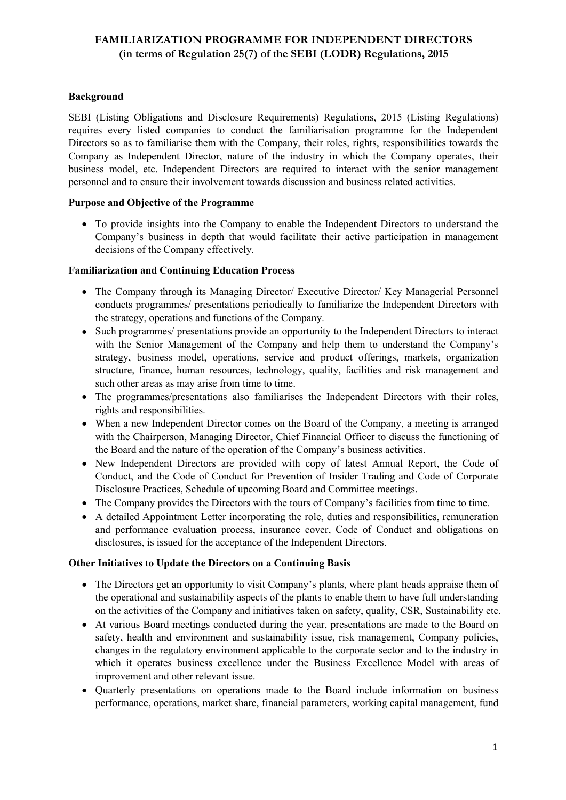# **FAMILIARIZATION PROGRAMME FOR INDEPENDENT DIRECTORS (in terms of Regulation 25(7) of the SEBI (LODR) Regulations, 2015**

## **Background**

SEBI (Listing Obligations and Disclosure Requirements) Regulations, 2015 (Listing Regulations) requires every listed companies to conduct the familiarisation programme for the Independent Directors so as to familiarise them with the Company, their roles, rights, responsibilities towards the Company as Independent Director, nature of the industry in which the Company operates, their business model, etc. Independent Directors are required to interact with the senior management personnel and to ensure their involvement towards discussion and business related activities.

## **Purpose and Objective of the Programme**

 To provide insights into the Company to enable the Independent Directors to understand the Company's business in depth that would facilitate their active participation in management decisions of the Company effectively.

## **Familiarization and Continuing Education Process**

- The Company through its Managing Director/ Executive Director/ Key Managerial Personnel conducts programmes/ presentations periodically to familiarize the Independent Directors with the strategy, operations and functions of the Company.
- Such programmes/ presentations provide an opportunity to the Independent Directors to interact with the Senior Management of the Company and help them to understand the Company's strategy, business model, operations, service and product offerings, markets, organization structure, finance, human resources, technology, quality, facilities and risk management and such other areas as may arise from time to time.
- The programmes/presentations also familiarises the Independent Directors with their roles, rights and responsibilities.
- When a new Independent Director comes on the Board of the Company, a meeting is arranged with the Chairperson, Managing Director, Chief Financial Officer to discuss the functioning of the Board and the nature of the operation of the Company's business activities.
- New Independent Directors are provided with copy of latest Annual Report, the Code of Conduct, and the Code of Conduct for Prevention of Insider Trading and Code of Corporate Disclosure Practices, Schedule of upcoming Board and Committee meetings.
- The Company provides the Directors with the tours of Company's facilities from time to time.
- A detailed Appointment Letter incorporating the role, duties and responsibilities, remuneration and performance evaluation process, insurance cover, Code of Conduct and obligations on disclosures, is issued for the acceptance of the Independent Directors.

### **Other Initiatives to Update the Directors on a Continuing Basis**

- The Directors get an opportunity to visit Company's plants, where plant heads appraise them of the operational and sustainability aspects of the plants to enable them to have full understanding on the activities ofthe Company and initiatives taken on safety, quality, CSR, Sustainability etc.
- At various Board meetings conducted during the year, presentations are made to the Board on safety, health and environment and sustainability issue, risk management, Company policies, changes in the regulatory environment applicable to the corporate sector and to the industry in which it operates business excellence under the Business Excellence Model with areas of improvement and other relevant issue.
- Quarterly presentations on operations made to the Board include information on business performance, operations, market share, financial parameters, working capital management, fund